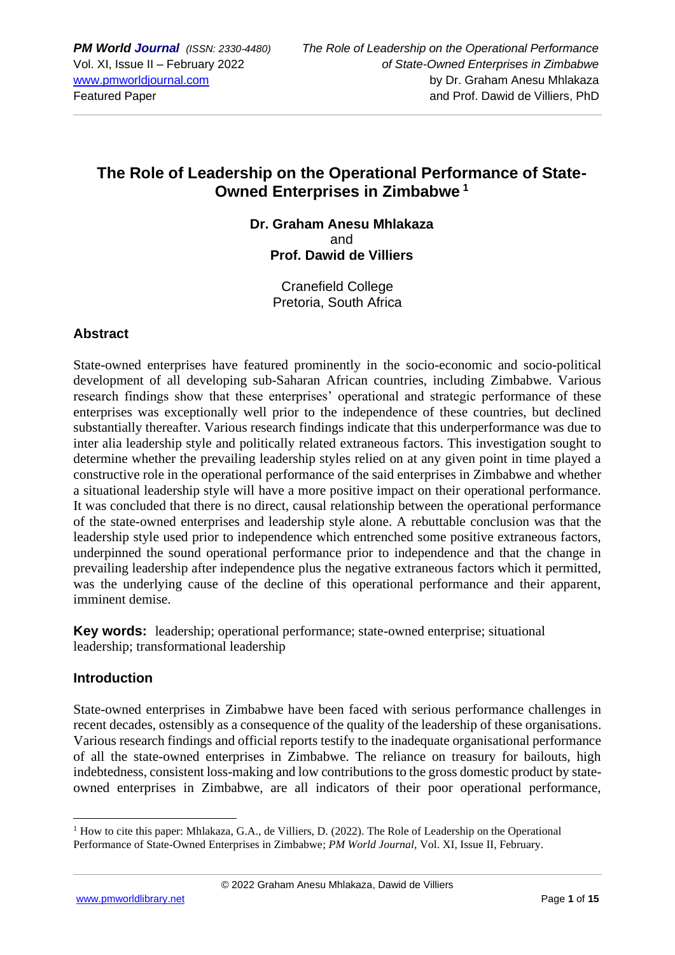# **The Role of Leadership on the Operational Performance of State-Owned Enterprises in Zimbabwe <sup>1</sup>**

### **Dr. Graham Anesu Mhlakaza**  and **Prof. Dawid de Villiers**

Cranefield College Pretoria, South Africa

## **Abstract**

State-owned enterprises have featured prominently in the socio-economic and socio-political development of all developing sub-Saharan African countries, including Zimbabwe. Various research findings show that these enterprises' operational and strategic performance of these enterprises was exceptionally well prior to the independence of these countries, but declined substantially thereafter. Various research findings indicate that this underperformance was due to inter alia leadership style and politically related extraneous factors. This investigation sought to determine whether the prevailing leadership styles relied on at any given point in time played a constructive role in the operational performance of the said enterprises in Zimbabwe and whether a situational leadership style will have a more positive impact on their operational performance. It was concluded that there is no direct, causal relationship between the operational performance of the state-owned enterprises and leadership style alone. A rebuttable conclusion was that the leadership style used prior to independence which entrenched some positive extraneous factors, underpinned the sound operational performance prior to independence and that the change in prevailing leadership after independence plus the negative extraneous factors which it permitted, was the underlying cause of the decline of this operational performance and their apparent, imminent demise.

**Key words:** leadership; operational performance; state-owned enterprise; situational leadership; transformational leadership

### **Introduction**

State-owned enterprises in Zimbabwe have been faced with serious performance challenges in recent decades, ostensibly as a consequence of the quality of the leadership of these organisations. Various research findings and official reports testify to the inadequate organisational performance of all the state-owned enterprises in Zimbabwe. The reliance on treasury for bailouts, high indebtedness, consistent loss-making and low contributions to the gross domestic product by stateowned enterprises in Zimbabwe, are all indicators of their poor operational performance,

<sup>&</sup>lt;sup>1</sup> How to cite this paper: Mhlakaza, G.A., de Villiers, D. (2022). The Role of Leadership on the Operational Performance of State-Owned Enterprises in Zimbabwe; *PM World Journal*, Vol. XI, Issue II, February.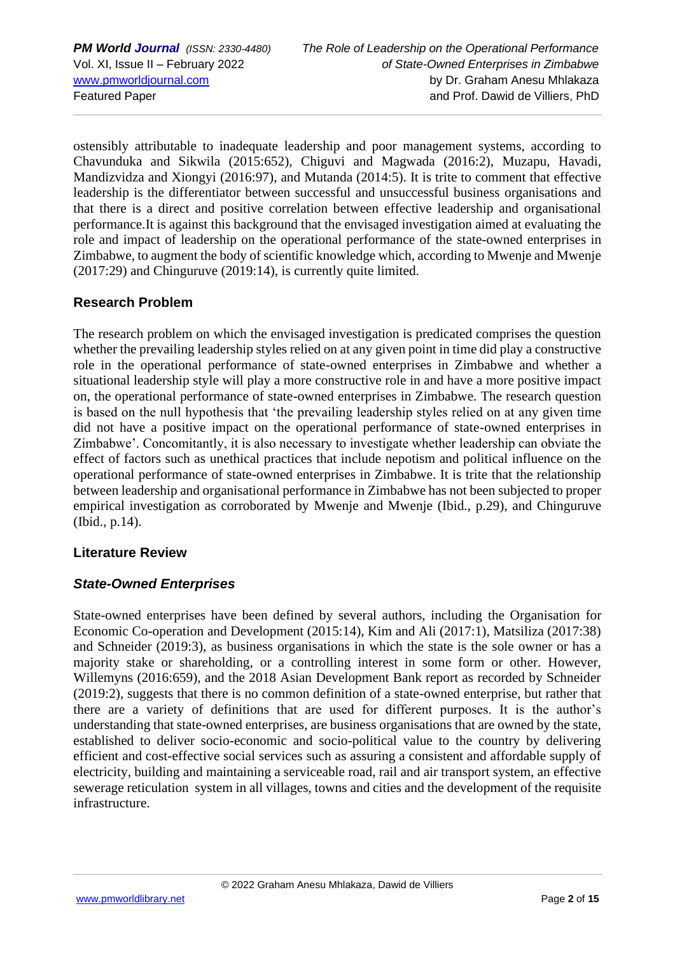ostensibly attributable to inadequate leadership and poor management systems, according to Chavunduka and Sikwila (2015:652), Chiguvi and Magwada (2016:2), Muzapu, Havadi, Mandizvidza and Xiongyi (2016:97), and Mutanda (2014:5). It is trite to comment that effective leadership is the differentiator between successful and unsuccessful business organisations and that there is a direct and positive correlation between effective leadership and organisational performance.It is against this background that the envisaged investigation aimed at evaluating the role and impact of leadership on the operational performance of the state-owned enterprises in Zimbabwe, to augment the body of scientific knowledge which, according to Mwenje and Mwenje (2017:29) and Chinguruve (2019:14), is currently quite limited.

# **Research Problem**

The research problem on which the envisaged investigation is predicated comprises the question whether the prevailing leadership styles relied on at any given point in time did play a constructive role in the operational performance of state-owned enterprises in Zimbabwe and whether a situational leadership style will play a more constructive role in and have a more positive impact on, the operational performance of state-owned enterprises in Zimbabwe. The research question is based on the null hypothesis that 'the prevailing leadership styles relied on at any given time did not have a positive impact on the operational performance of state-owned enterprises in Zimbabwe'. Concomitantly, it is also necessary to investigate whether leadership can obviate the effect of factors such as unethical practices that include nepotism and political influence on the operational performance of state-owned enterprises in Zimbabwe. It is trite that the relationship between leadership and organisational performance in Zimbabwe has not been subjected to proper empirical investigation as corroborated by Mwenje and Mwenje (Ibid., p.29), and Chinguruve (Ibid., p.14).

# **Literature Review**

# *State-Owned Enterprises*

State-owned enterprises have been defined by several authors, including the Organisation for Economic Co-operation and Development (2015:14), Kim and Ali (2017:1), Matsiliza (2017:38) and Schneider (2019:3), as business organisations in which the state is the sole owner or has a majority stake or shareholding, or a controlling interest in some form or other. However, Willemyns (2016:659), and the 2018 Asian Development Bank report as recorded by Schneider (2019:2), suggests that there is no common definition of a state-owned enterprise, but rather that there are a variety of definitions that are used for different purposes. It is the author's understanding that state-owned enterprises, are business organisations that are owned by the state, established to deliver socio-economic and socio-political value to the country by delivering efficient and cost-effective social services such as assuring a consistent and affordable supply of electricity, building and maintaining a serviceable road, rail and air transport system, an effective sewerage reticulation system in all villages, towns and cities and the development of the requisite infrastructure.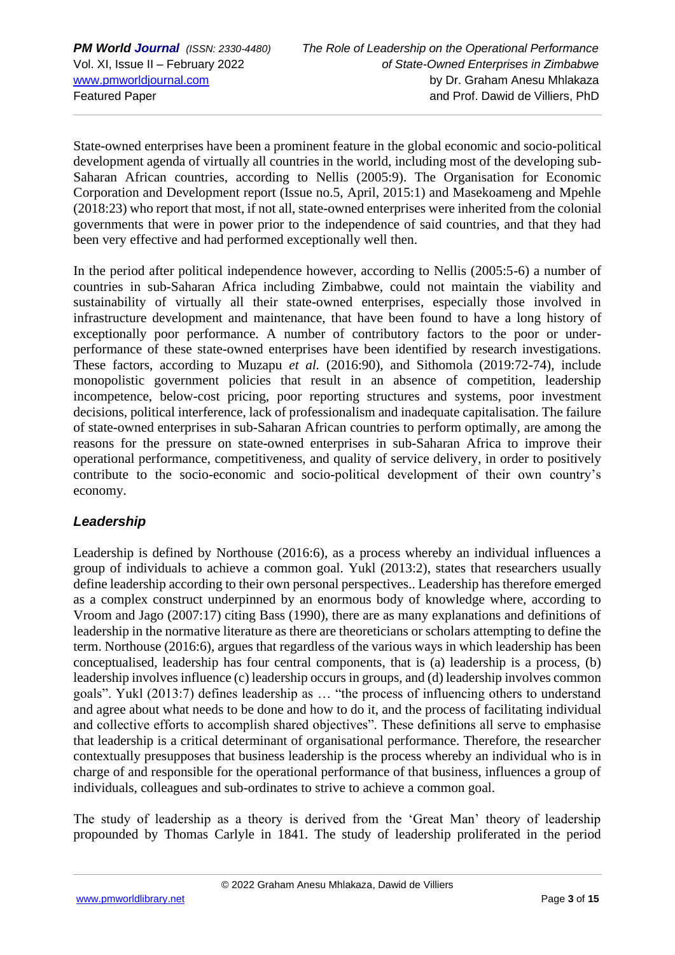State-owned enterprises have been a prominent feature in the global economic and socio-political development agenda of virtually all countries in the world, including most of the developing sub-Saharan African countries, according to Nellis (2005:9). The Organisation for Economic Corporation and Development report (Issue no.5, April, 2015:1) and Masekoameng and Mpehle (2018:23) who report that most, if not all, state-owned enterprises were inherited from the colonial governments that were in power prior to the independence of said countries, and that they had been very effective and had performed exceptionally well then.

In the period after political independence however, according to Nellis (2005:5-6) a number of countries in sub-Saharan Africa including Zimbabwe, could not maintain the viability and sustainability of virtually all their state-owned enterprises, especially those involved in infrastructure development and maintenance, that have been found to have a long history of exceptionally poor performance. A number of contributory factors to the poor or underperformance of these state-owned enterprises have been identified by research investigations. These factors, according to Muzapu *et al.* (2016:90), and Sithomola (2019:72-74), include monopolistic government policies that result in an absence of competition, leadership incompetence, below-cost pricing, poor reporting structures and systems, poor investment decisions, political interference, lack of professionalism and inadequate capitalisation. The failure of state-owned enterprises in sub-Saharan African countries to perform optimally, are among the reasons for the pressure on state-owned enterprises in sub-Saharan Africa to improve their operational performance, competitiveness, and quality of service delivery, in order to positively contribute to the socio-economic and socio-political development of their own country's economy.

# *Leadership*

Leadership is defined by Northouse (2016:6), as a process whereby an individual influences a group of individuals to achieve a common goal. Yukl (2013:2), states that researchers usually define leadership according to their own personal perspectives.. Leadership has therefore emerged as a complex construct underpinned by an enormous body of knowledge where, according to Vroom and Jago (2007:17) citing Bass (1990), there are as many explanations and definitions of leadership in the normative literature as there are theoreticians or scholars attempting to define the term. Northouse (2016:6), argues that regardless of the various ways in which leadership has been conceptualised, leadership has four central components, that is (a) leadership is a process, (b) leadership involves influence (c) leadership occurs in groups, and (d) leadership involves common goals". Yukl (2013:7) defines leadership as … "the process of influencing others to understand and agree about what needs to be done and how to do it, and the process of facilitating individual and collective efforts to accomplish shared objectives". These definitions all serve to emphasise that leadership is a critical determinant of organisational performance. Therefore, the researcher contextually presupposes that business leadership is the process whereby an individual who is in charge of and responsible for the operational performance of that business, influences a group of individuals, colleagues and sub-ordinates to strive to achieve a common goal.

The study of leadership as a theory is derived from the 'Great Man' theory of leadership propounded by Thomas Carlyle in 1841. The study of leadership proliferated in the period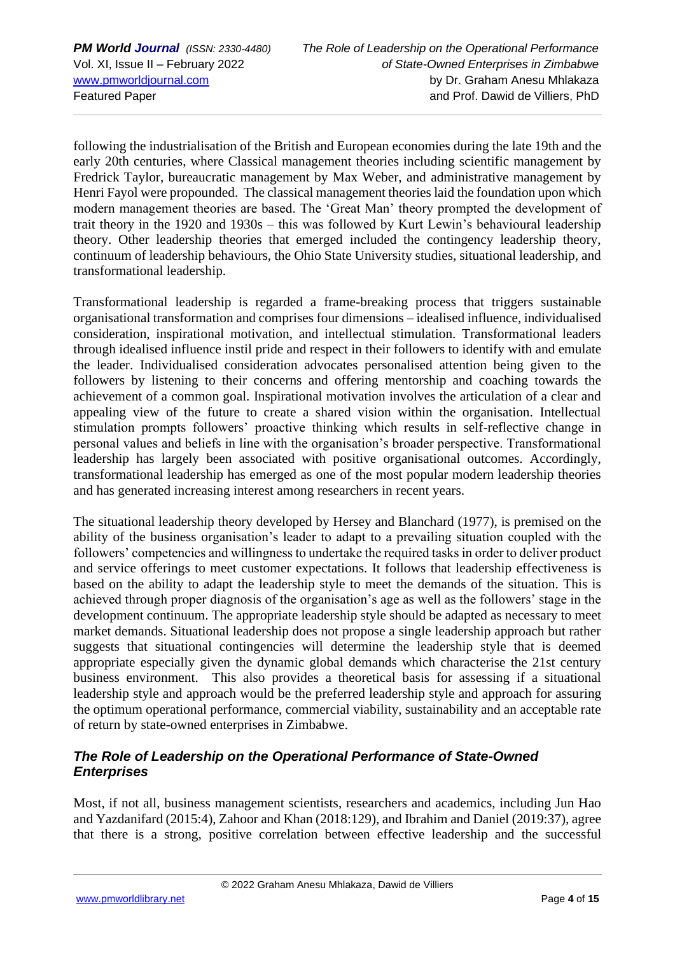following the industrialisation of the British and European economies during the late 19th and the early 20th centuries, where Classical management theories including scientific management by Fredrick Taylor, bureaucratic management by Max Weber, and administrative management by Henri Fayol were propounded. The classical management theories laid the foundation upon which modern management theories are based. The 'Great Man' theory prompted the development of trait theory in the 1920 and 1930s – this was followed by Kurt Lewin's behavioural leadership theory. Other leadership theories that emerged included the contingency leadership theory, continuum of leadership behaviours, the Ohio State University studies, situational leadership, and transformational leadership.

Transformational leadership is regarded a frame-breaking process that triggers sustainable organisational transformation and comprises four dimensions – idealised influence, individualised consideration, inspirational motivation, and intellectual stimulation. Transformational leaders through idealised influence instil pride and respect in their followers to identify with and emulate the leader. Individualised consideration advocates personalised attention being given to the followers by listening to their concerns and offering mentorship and coaching towards the achievement of a common goal. Inspirational motivation involves the articulation of a clear and appealing view of the future to create a shared vision within the organisation. Intellectual stimulation prompts followers' proactive thinking which results in self-reflective change in personal values and beliefs in line with the organisation's broader perspective. Transformational leadership has largely been associated with positive organisational outcomes. Accordingly, transformational leadership has emerged as one of the most popular modern leadership theories and has generated increasing interest among researchers in recent years.

The situational leadership theory developed by Hersey and Blanchard (1977), is premised on the ability of the business organisation's leader to adapt to a prevailing situation coupled with the followers' competencies and willingness to undertake the required tasks in order to deliver product and service offerings to meet customer expectations. It follows that leadership effectiveness is based on the ability to adapt the leadership style to meet the demands of the situation. This is achieved through proper diagnosis of the organisation's age as well as the followers' stage in the development continuum. The appropriate leadership style should be adapted as necessary to meet market demands. Situational leadership does not propose a single leadership approach but rather suggests that situational contingencies will determine the leadership style that is deemed appropriate especially given the dynamic global demands which characterise the 21st century business environment. This also provides a theoretical basis for assessing if a situational leadership style and approach would be the preferred leadership style and approach for assuring the optimum operational performance, commercial viability, sustainability and an acceptable rate of return by state-owned enterprises in Zimbabwe.

## *The Role of Leadership on the Operational Performance of State-Owned Enterprises*

Most, if not all, business management scientists, researchers and academics, including Jun Hao and Yazdanifard (2015:4), Zahoor and Khan (2018:129), and Ibrahim and Daniel (2019:37), agree that there is a strong, positive correlation between effective leadership and the successful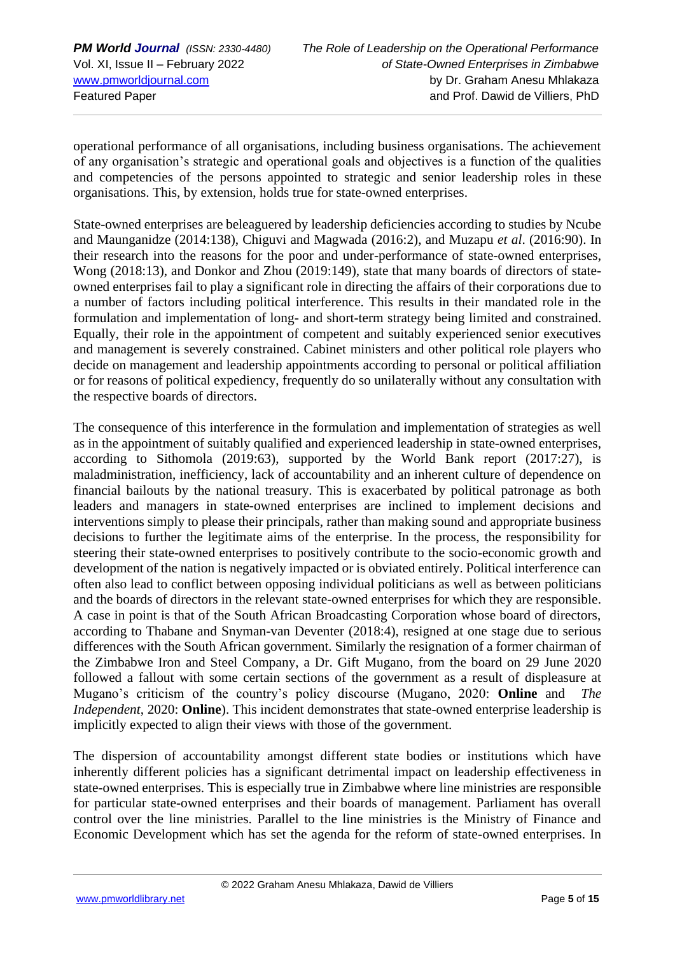operational performance of all organisations, including business organisations. The achievement of any organisation's strategic and operational goals and objectives is a function of the qualities and competencies of the persons appointed to strategic and senior leadership roles in these organisations. This, by extension, holds true for state-owned enterprises.

State-owned enterprises are beleaguered by leadership deficiencies according to studies by Ncube and Maunganidze (2014:138), Chiguvi and Magwada (2016:2), and Muzapu *et al*. (2016:90). In their research into the reasons for the poor and under-performance of state-owned enterprises, Wong (2018:13), and Donkor and Zhou (2019:149), state that many boards of directors of stateowned enterprises fail to play a significant role in directing the affairs of their corporations due to a number of factors including political interference. This results in their mandated role in the formulation and implementation of long- and short-term strategy being limited and constrained. Equally, their role in the appointment of competent and suitably experienced senior executives and management is severely constrained. Cabinet ministers and other political role players who decide on management and leadership appointments according to personal or political affiliation or for reasons of political expediency, frequently do so unilaterally without any consultation with the respective boards of directors.

The consequence of this interference in the formulation and implementation of strategies as well as in the appointment of suitably qualified and experienced leadership in state-owned enterprises, according to Sithomola (2019:63), supported by the World Bank report (2017:27), is maladministration, inefficiency, lack of accountability and an inherent culture of dependence on financial bailouts by the national treasury. This is exacerbated by political patronage as both leaders and managers in state-owned enterprises are inclined to implement decisions and interventions simply to please their principals, rather than making sound and appropriate business decisions to further the legitimate aims of the enterprise. In the process, the responsibility for steering their state-owned enterprises to positively contribute to the socio-economic growth and development of the nation is negatively impacted or is obviated entirely. Political interference can often also lead to conflict between opposing individual politicians as well as between politicians and the boards of directors in the relevant state-owned enterprises for which they are responsible. A case in point is that of the South African Broadcasting Corporation whose board of directors, according to Thabane and Snyman-van Deventer (2018:4), resigned at one stage due to serious differences with the South African government. Similarly the resignation of a former chairman of the Zimbabwe Iron and Steel Company, a Dr. Gift Mugano, from the board on 29 June 2020 followed a fallout with some certain sections of the government as a result of displeasure at Mugano's criticism of the country's policy discourse (Mugano, 2020: **Online** and *The Independent*, 2020: **Online**). This incident demonstrates that state-owned enterprise leadership is implicitly expected to align their views with those of the government.

The dispersion of accountability amongst different state bodies or institutions which have inherently different policies has a significant detrimental impact on leadership effectiveness in state-owned enterprises. This is especially true in Zimbabwe where line ministries are responsible for particular state-owned enterprises and their boards of management. Parliament has overall control over the line ministries. Parallel to the line ministries is the Ministry of Finance and Economic Development which has set the agenda for the reform of state-owned enterprises. In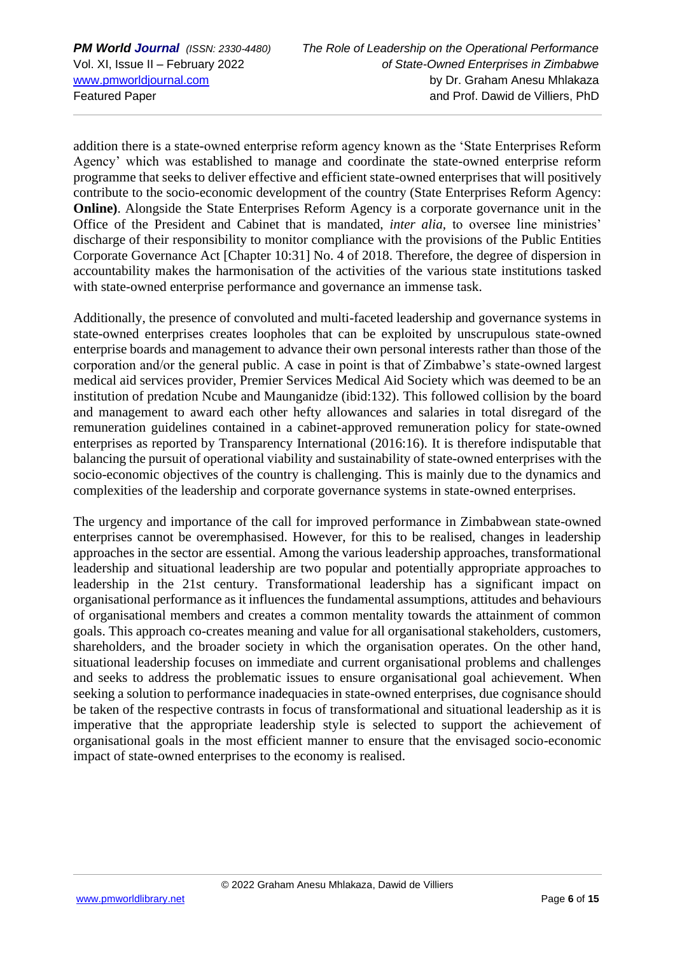addition there is a state-owned enterprise reform agency known as the 'State Enterprises Reform Agency' which was established to manage and coordinate the state-owned enterprise reform programme that seeks to deliver effective and efficient state-owned enterprises that will positively contribute to the socio-economic development of the country (State Enterprises Reform Agency: **Online)**. Alongside the State Enterprises Reform Agency is a corporate governance unit in the Office of the President and Cabinet that is mandated, *inter alia,* to oversee line ministries' discharge of their responsibility to monitor compliance with the provisions of the Public Entities Corporate Governance Act [Chapter 10:31] No. 4 of 2018. Therefore, the degree of dispersion in accountability makes the harmonisation of the activities of the various state institutions tasked with state-owned enterprise performance and governance an immense task.

Additionally, the presence of convoluted and multi-faceted leadership and governance systems in state-owned enterprises creates loopholes that can be exploited by unscrupulous state-owned enterprise boards and management to advance their own personal interests rather than those of the corporation and/or the general public. A case in point is that of Zimbabwe's state-owned largest medical aid services provider, Premier Services Medical Aid Society which was deemed to be an institution of predation Ncube and Maunganidze (ibid:132). This followed collision by the board and management to award each other hefty allowances and salaries in total disregard of the remuneration guidelines contained in a cabinet-approved remuneration policy for state-owned enterprises as reported by Transparency International (2016:16). It is therefore indisputable that balancing the pursuit of operational viability and sustainability of state-owned enterprises with the socio-economic objectives of the country is challenging. This is mainly due to the dynamics and complexities of the leadership and corporate governance systems in state-owned enterprises.

The urgency and importance of the call for improved performance in Zimbabwean state-owned enterprises cannot be overemphasised. However, for this to be realised, changes in leadership approaches in the sector are essential. Among the various leadership approaches, transformational leadership and situational leadership are two popular and potentially appropriate approaches to leadership in the 21st century. Transformational leadership has a significant impact on organisational performance as it influences the fundamental assumptions, attitudes and behaviours of organisational members and creates a common mentality towards the attainment of common goals. This approach co-creates meaning and value for all organisational stakeholders, customers, shareholders, and the broader society in which the organisation operates. On the other hand, situational leadership focuses on immediate and current organisational problems and challenges and seeks to address the problematic issues to ensure organisational goal achievement. When seeking a solution to performance inadequacies in state-owned enterprises, due cognisance should be taken of the respective contrasts in focus of transformational and situational leadership as it is imperative that the appropriate leadership style is selected to support the achievement of organisational goals in the most efficient manner to ensure that the envisaged socio-economic impact of state-owned enterprises to the economy is realised.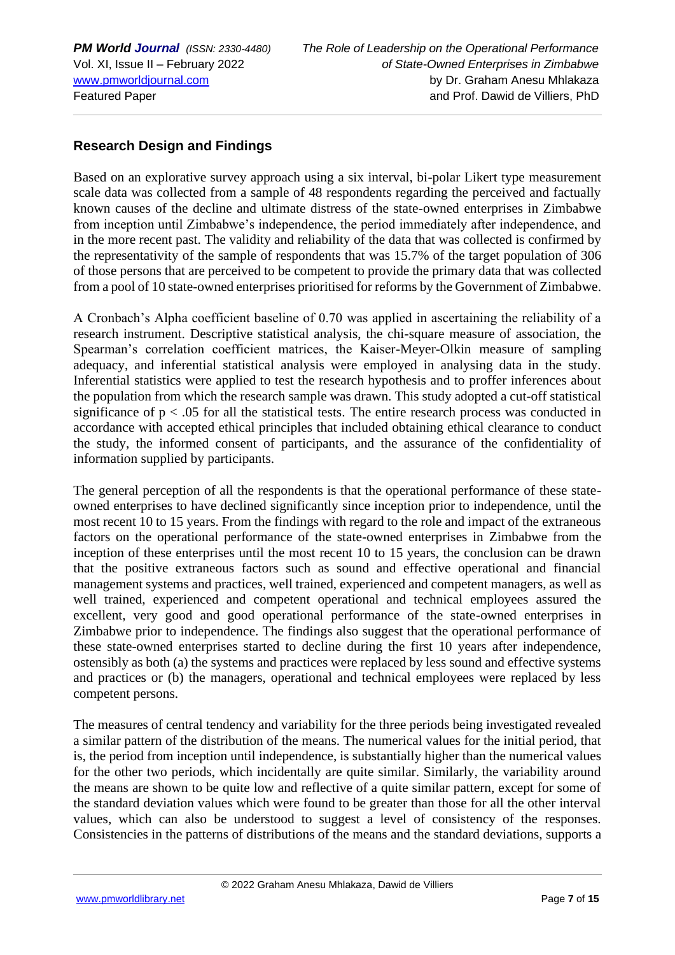### **Research Design and Findings**

Based on an explorative survey approach using a six interval, bi-polar Likert type measurement scale data was collected from a sample of 48 respondents regarding the perceived and factually known causes of the decline and ultimate distress of the state-owned enterprises in Zimbabwe from inception until Zimbabwe's independence, the period immediately after independence, and in the more recent past. The validity and reliability of the data that was collected is confirmed by the representativity of the sample of respondents that was 15.7% of the target population of 306 of those persons that are perceived to be competent to provide the primary data that was collected from a pool of 10 state-owned enterprises prioritised for reforms by the Government of Zimbabwe.

A Cronbach's Alpha coefficient baseline of 0.70 was applied in ascertaining the reliability of a research instrument. Descriptive statistical analysis, the chi-square measure of association, the Spearman's correlation coefficient matrices, the Kaiser-Meyer-Olkin measure of sampling adequacy, and inferential statistical analysis were employed in analysing data in the study. Inferential statistics were applied to test the research hypothesis and to proffer inferences about the population from which the research sample was drawn. This study adopted a cut-off statistical significance of  $p < .05$  for all the statistical tests. The entire research process was conducted in accordance with accepted ethical principles that included obtaining ethical clearance to conduct the study, the informed consent of participants, and the assurance of the confidentiality of information supplied by participants.

The general perception of all the respondents is that the operational performance of these stateowned enterprises to have declined significantly since inception prior to independence, until the most recent 10 to 15 years. From the findings with regard to the role and impact of the extraneous factors on the operational performance of the state-owned enterprises in Zimbabwe from the inception of these enterprises until the most recent 10 to 15 years, the conclusion can be drawn that the positive extraneous factors such as sound and effective operational and financial management systems and practices, well trained, experienced and competent managers, as well as well trained, experienced and competent operational and technical employees assured the excellent, very good and good operational performance of the state-owned enterprises in Zimbabwe prior to independence. The findings also suggest that the operational performance of these state-owned enterprises started to decline during the first 10 years after independence, ostensibly as both (a) the systems and practices were replaced by less sound and effective systems and practices or (b) the managers, operational and technical employees were replaced by less competent persons.

The measures of central tendency and variability for the three periods being investigated revealed a similar pattern of the distribution of the means. The numerical values for the initial period, that is, the period from inception until independence, is substantially higher than the numerical values for the other two periods, which incidentally are quite similar. Similarly, the variability around the means are shown to be quite low and reflective of a quite similar pattern, except for some of the standard deviation values which were found to be greater than those for all the other interval values, which can also be understood to suggest a level of consistency of the responses. Consistencies in the patterns of distributions of the means and the standard deviations, supports a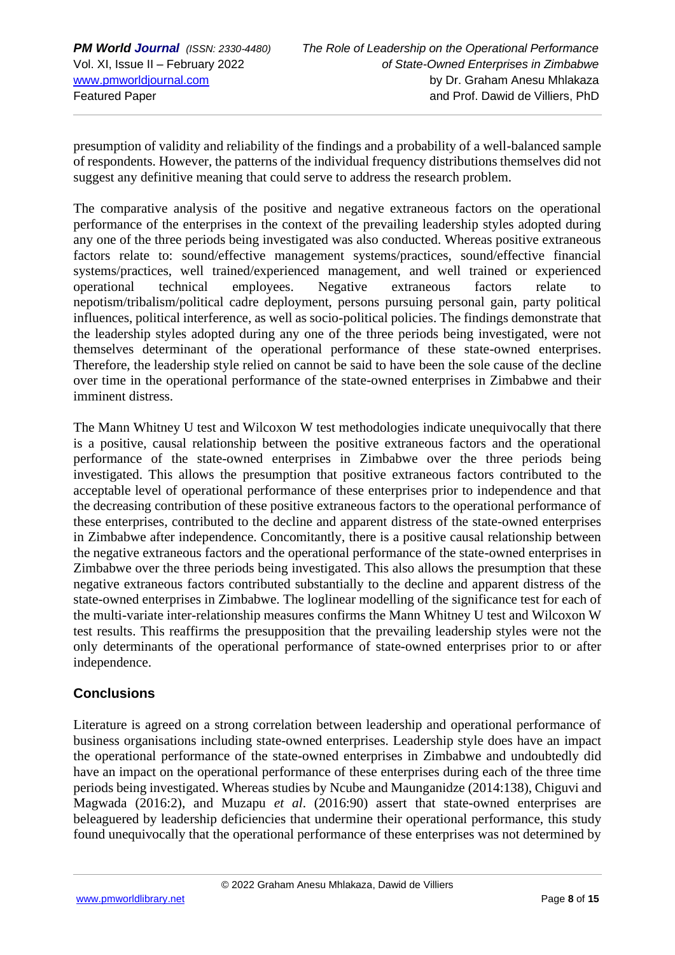presumption of validity and reliability of the findings and a probability of a well-balanced sample of respondents. However, the patterns of the individual frequency distributions themselves did not suggest any definitive meaning that could serve to address the research problem.

The comparative analysis of the positive and negative extraneous factors on the operational performance of the enterprises in the context of the prevailing leadership styles adopted during any one of the three periods being investigated was also conducted. Whereas positive extraneous factors relate to: sound/effective management systems/practices, sound/effective financial systems/practices, well trained/experienced management, and well trained or experienced operational technical employees. Negative extraneous factors relate to nepotism/tribalism/political cadre deployment, persons pursuing personal gain, party political influences, political interference, as well as socio-political policies. The findings demonstrate that the leadership styles adopted during any one of the three periods being investigated, were not themselves determinant of the operational performance of these state-owned enterprises. Therefore, the leadership style relied on cannot be said to have been the sole cause of the decline over time in the operational performance of the state-owned enterprises in Zimbabwe and their imminent distress.

The Mann Whitney U test and Wilcoxon W test methodologies indicate unequivocally that there is a positive, causal relationship between the positive extraneous factors and the operational performance of the state-owned enterprises in Zimbabwe over the three periods being investigated. This allows the presumption that positive extraneous factors contributed to the acceptable level of operational performance of these enterprises prior to independence and that the decreasing contribution of these positive extraneous factors to the operational performance of these enterprises, contributed to the decline and apparent distress of the state-owned enterprises in Zimbabwe after independence. Concomitantly, there is a positive causal relationship between the negative extraneous factors and the operational performance of the state-owned enterprises in Zimbabwe over the three periods being investigated. This also allows the presumption that these negative extraneous factors contributed substantially to the decline and apparent distress of the state-owned enterprises in Zimbabwe. The loglinear modelling of the significance test for each of the multi-variate inter-relationship measures confirms the Mann Whitney U test and Wilcoxon W test results. This reaffirms the presupposition that the prevailing leadership styles were not the only determinants of the operational performance of state-owned enterprises prior to or after independence.

# **Conclusions**

Literature is agreed on a strong correlation between leadership and operational performance of business organisations including state-owned enterprises. Leadership style does have an impact the operational performance of the state-owned enterprises in Zimbabwe and undoubtedly did have an impact on the operational performance of these enterprises during each of the three time periods being investigated. Whereas studies by Ncube and Maunganidze (2014:138), Chiguvi and Magwada (2016:2), and Muzapu *et al*. (2016:90) assert that state-owned enterprises are beleaguered by leadership deficiencies that undermine their operational performance, this study found unequivocally that the operational performance of these enterprises was not determined by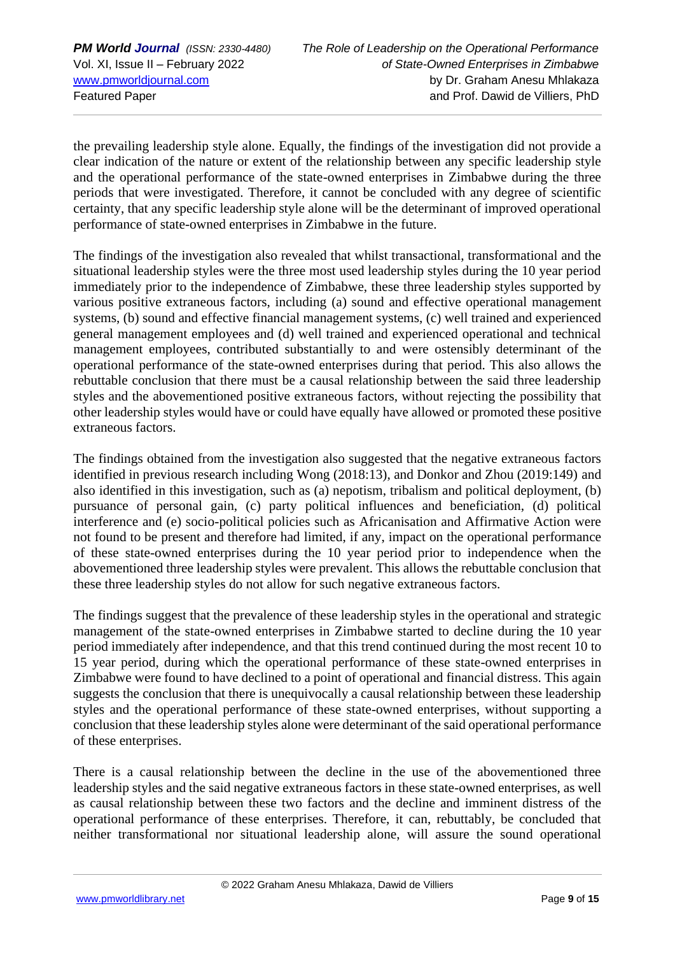the prevailing leadership style alone. Equally, the findings of the investigation did not provide a clear indication of the nature or extent of the relationship between any specific leadership style and the operational performance of the state-owned enterprises in Zimbabwe during the three periods that were investigated. Therefore, it cannot be concluded with any degree of scientific certainty, that any specific leadership style alone will be the determinant of improved operational performance of state-owned enterprises in Zimbabwe in the future.

The findings of the investigation also revealed that whilst transactional, transformational and the situational leadership styles were the three most used leadership styles during the 10 year period immediately prior to the independence of Zimbabwe, these three leadership styles supported by various positive extraneous factors, including (a) sound and effective operational management systems, (b) sound and effective financial management systems, (c) well trained and experienced general management employees and (d) well trained and experienced operational and technical management employees, contributed substantially to and were ostensibly determinant of the operational performance of the state-owned enterprises during that period. This also allows the rebuttable conclusion that there must be a causal relationship between the said three leadership styles and the abovementioned positive extraneous factors, without rejecting the possibility that other leadership styles would have or could have equally have allowed or promoted these positive extraneous factors.

The findings obtained from the investigation also suggested that the negative extraneous factors identified in previous research including Wong (2018:13), and Donkor and Zhou (2019:149) and also identified in this investigation, such as (a) nepotism, tribalism and political deployment, (b) pursuance of personal gain, (c) party political influences and beneficiation, (d) political interference and (e) socio-political policies such as Africanisation and Affirmative Action were not found to be present and therefore had limited, if any, impact on the operational performance of these state-owned enterprises during the 10 year period prior to independence when the abovementioned three leadership styles were prevalent. This allows the rebuttable conclusion that these three leadership styles do not allow for such negative extraneous factors.

The findings suggest that the prevalence of these leadership styles in the operational and strategic management of the state-owned enterprises in Zimbabwe started to decline during the 10 year period immediately after independence, and that this trend continued during the most recent 10 to 15 year period, during which the operational performance of these state-owned enterprises in Zimbabwe were found to have declined to a point of operational and financial distress. This again suggests the conclusion that there is unequivocally a causal relationship between these leadership styles and the operational performance of these state-owned enterprises, without supporting a conclusion that these leadership styles alone were determinant of the said operational performance of these enterprises.

There is a causal relationship between the decline in the use of the abovementioned three leadership styles and the said negative extraneous factors in these state-owned enterprises, as well as causal relationship between these two factors and the decline and imminent distress of the operational performance of these enterprises. Therefore, it can, rebuttably, be concluded that neither transformational nor situational leadership alone, will assure the sound operational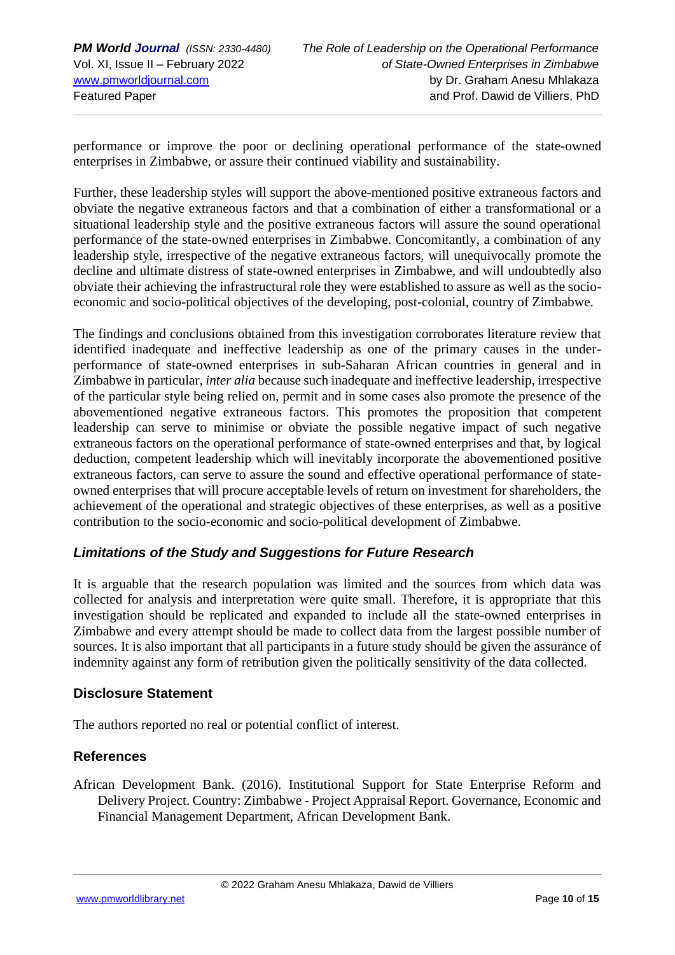performance or improve the poor or declining operational performance of the state-owned enterprises in Zimbabwe, or assure their continued viability and sustainability.

Further, these leadership styles will support the above-mentioned positive extraneous factors and obviate the negative extraneous factors and that a combination of either a transformational or a situational leadership style and the positive extraneous factors will assure the sound operational performance of the state-owned enterprises in Zimbabwe. Concomitantly, a combination of any leadership style, irrespective of the negative extraneous factors, will unequivocally promote the decline and ultimate distress of state-owned enterprises in Zimbabwe, and will undoubtedly also obviate their achieving the infrastructural role they were established to assure as well as the socioeconomic and socio-political objectives of the developing, post-colonial, country of Zimbabwe.

The findings and conclusions obtained from this investigation corroborates literature review that identified inadequate and ineffective leadership as one of the primary causes in the underperformance of state-owned enterprises in sub-Saharan African countries in general and in Zimbabwe in particular, *inter alia* because such inadequate and ineffective leadership, irrespective of the particular style being relied on, permit and in some cases also promote the presence of the abovementioned negative extraneous factors. This promotes the proposition that competent leadership can serve to minimise or obviate the possible negative impact of such negative extraneous factors on the operational performance of state-owned enterprises and that, by logical deduction, competent leadership which will inevitably incorporate the abovementioned positive extraneous factors, can serve to assure the sound and effective operational performance of stateowned enterprises that will procure acceptable levels of return on investment for shareholders, the achievement of the operational and strategic objectives of these enterprises, as well as a positive contribution to the socio-economic and socio-political development of Zimbabwe.

# *Limitations of the Study and Suggestions for Future Research*

It is arguable that the research population was limited and the sources from which data was collected for analysis and interpretation were quite small. Therefore, it is appropriate that this investigation should be replicated and expanded to include all the state-owned enterprises in Zimbabwe and every attempt should be made to collect data from the largest possible number of sources. It is also important that all participants in a future study should be given the assurance of indemnity against any form of retribution given the politically sensitivity of the data collected.

### **Disclosure Statement**

The authors reported no real or potential conflict of interest.

### **References**

African Development Bank. (2016). Institutional Support for State Enterprise Reform and Delivery Project. Country: Zimbabwe - Project Appraisal Report. Governance, Economic and Financial Management Department, African Development Bank.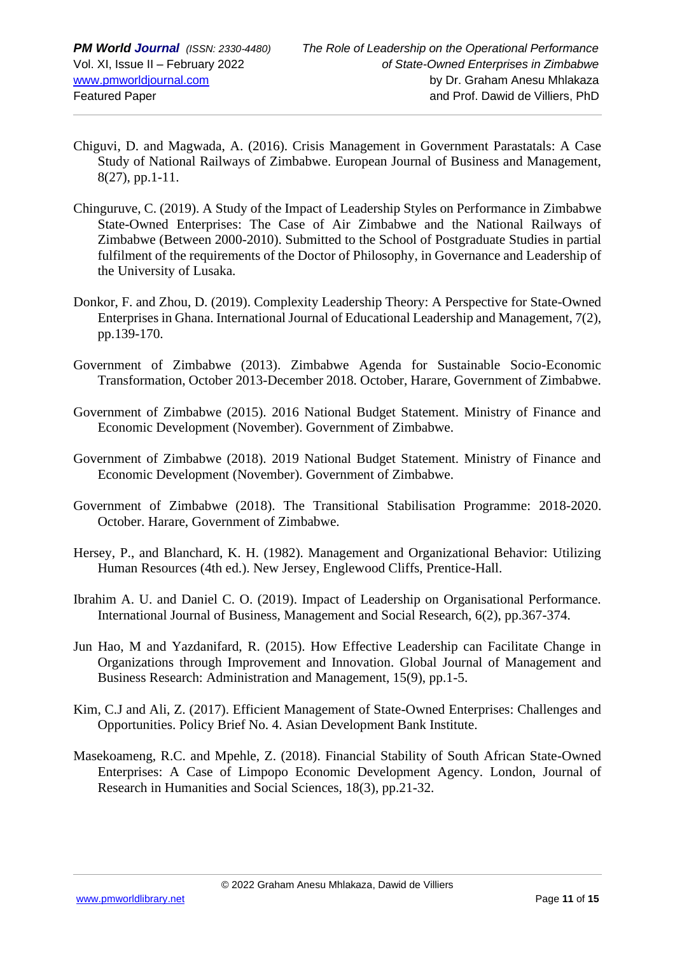- Chiguvi, D. and Magwada, A. (2016). Crisis Management in Government Parastatals: A Case Study of National Railways of Zimbabwe. European Journal of Business and Management, 8(27), pp.1-11.
- Chinguruve, C. (2019). A Study of the Impact of Leadership Styles on Performance in Zimbabwe State-Owned Enterprises: The Case of Air Zimbabwe and the National Railways of Zimbabwe (Between 2000-2010). Submitted to the School of Postgraduate Studies in partial fulfilment of the requirements of the Doctor of Philosophy, in Governance and Leadership of the University of Lusaka.
- Donkor, F. and Zhou, D. (2019). Complexity Leadership Theory: A Perspective for State-Owned Enterprises in Ghana. International Journal of Educational Leadership and Management, 7(2), pp.139-170.
- Government of Zimbabwe (2013). Zimbabwe Agenda for Sustainable Socio-Economic Transformation, October 2013-December 2018. October, Harare, Government of Zimbabwe.
- Government of Zimbabwe (2015). 2016 National Budget Statement. Ministry of Finance and Economic Development (November). Government of Zimbabwe.
- Government of Zimbabwe (2018). 2019 National Budget Statement. Ministry of Finance and Economic Development (November). Government of Zimbabwe.
- Government of Zimbabwe (2018). The Transitional Stabilisation Programme: 2018-2020. October. Harare, Government of Zimbabwe.
- Hersey, P., and Blanchard, K. H. (1982). Management and Organizational Behavior: Utilizing Human Resources (4th ed.). New Jersey, Englewood Cliffs, Prentice-Hall.
- Ibrahim A. U. and Daniel C. O. (2019). Impact of Leadership on Organisational Performance. International Journal of Business, Management and Social Research, 6(2), pp.367-374.
- Jun Hao, M and Yazdanifard, R. (2015). How Effective Leadership can Facilitate Change in Organizations through Improvement and Innovation. Global Journal of Management and Business Research: Administration and Management, 15(9), pp.1-5.
- Kim, C.J and Ali, Z. (2017). Efficient Management of State-Owned Enterprises: Challenges and Opportunities. Policy Brief No. 4. Asian Development Bank Institute.
- Masekoameng, R.C. and Mpehle, Z. (2018). Financial Stability of South African State-Owned Enterprises: A Case of Limpopo Economic Development Agency. London, Journal of Research in Humanities and Social Sciences, 18(3), pp.21-32.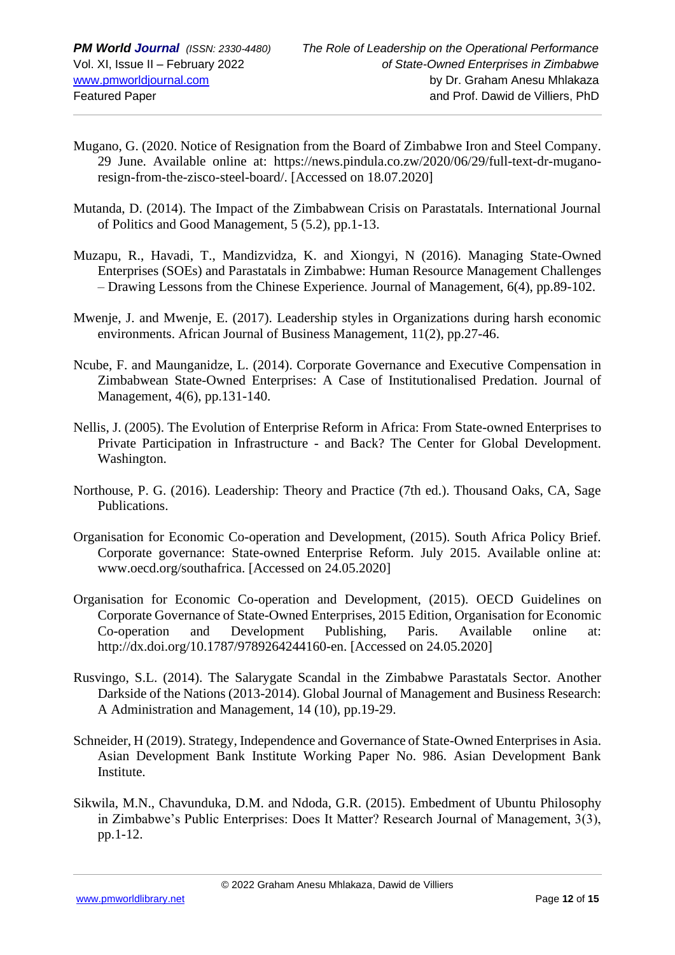- Mugano, G. (2020. Notice of Resignation from the Board of Zimbabwe Iron and Steel Company. 29 June. Available online at: [https://news.pindula.co.zw/2020/06/29/full-text-dr-mugano](https://news.pindula.co.zw/2020/06/29/full-text-dr-mugano-resign-from-the-zisco-steel-board/)[resign-from-the-zisco-steel-board/.](https://news.pindula.co.zw/2020/06/29/full-text-dr-mugano-resign-from-the-zisco-steel-board/) [Accessed on 18.07.2020]
- Mutanda, D. (2014). The Impact of the Zimbabwean Crisis on Parastatals. International Journal of Politics and Good Management, 5 (5.2), pp.1-13.
- Muzapu, R., Havadi, T., Mandizvidza, K. and Xiongyi, N (2016). Managing State-Owned Enterprises (SOEs) and Parastatals in Zimbabwe: Human Resource Management Challenges – Drawing Lessons from the Chinese Experience. Journal of Management, 6(4), pp.89-102.
- Mwenje, J. and Mwenje, E. (2017). Leadership styles in Organizations during harsh economic environments. African Journal of Business Management, 11(2), pp.27-46.
- Ncube, F. and Maunganidze, L. (2014). Corporate Governance and Executive Compensation in Zimbabwean State-Owned Enterprises: A Case of Institutionalised Predation. Journal of Management, 4(6), pp.131-140.
- Nellis, J. (2005). The Evolution of Enterprise Reform in Africa: From State-owned Enterprises to Private Participation in Infrastructure - and Back? The Center for Global Development. Washington.
- Northouse, P. G. (2016). Leadership: Theory and Practice (7th ed.). Thousand Oaks, CA, Sage Publications.
- Organisation for Economic Co-operation and Development, (2015). South Africa Policy Brief. Corporate governance: State-owned Enterprise Reform. July 2015. Available online at: [www.oecd.org/southafrica.](http://www.oecd.org/southafrica) [Accessed on 24.05.2020]
- Organisation for Economic Co-operation and Development, (2015). OECD Guidelines on Corporate Governance of State-Owned Enterprises, 2015 Edition, Organisation for Economic Co-operation and Development Publishing, Paris. Available online at: [http://dx.doi.org/10.1787/9789264244160-en.](http://dx.doi.org/10.1787/9789264244160-en) [Accessed on 24.05.2020]
- Rusvingo, S.L. (2014). The Salarygate Scandal in the Zimbabwe Parastatals Sector. Another Darkside of the Nations (2013-2014). Global Journal of Management and Business Research: A Administration and Management, 14 (10), pp.19-29.
- Schneider, H (2019). Strategy, Independence and Governance of State-Owned Enterprises in Asia. Asian Development Bank Institute Working Paper No. 986. Asian Development Bank Institute.
- Sikwila, M.N., Chavunduka, D.M. and Ndoda, G.R. (2015). Embedment of Ubuntu Philosophy in Zimbabwe's Public Enterprises: Does It Matter? Research Journal of Management, 3(3), pp.1-12.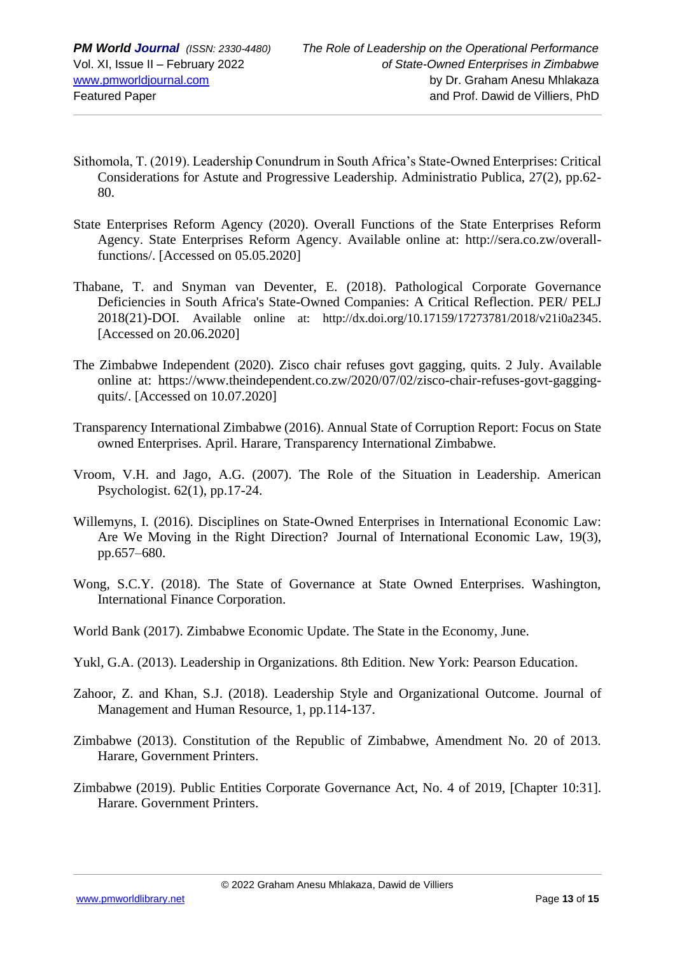- Sithomola, T. (2019). Leadership Conundrum in South Africa's State-Owned Enterprises: Critical Considerations for Astute and Progressive Leadership. Administratio Publica, 27(2), pp.62- 80.
- State Enterprises Reform Agency (2020). Overall Functions of the State Enterprises Reform Agency. State Enterprises Reform Agency. Available online at: [http://sera.co.zw/overall](http://sera.co.zw/overall-functions/)[functions/.](http://sera.co.zw/overall-functions/) [Accessed on 05.05.2020]
- Thabane, T. and Snyman van Deventer, E. (2018). Pathological Corporate Governance Deficiencies in South Africa's State-Owned Companies: A Critical Reflection. PER/ PELJ 2018(21)-DOI. Available online at: [http://dx.doi.org/10.17159/17273781/2018/v21i0a2345](http://dx.doi.org/10.17159/1727-3781/2018/v21i0a2345). [Accessed on 20.06.2020]
- The Zimbabwe Independent (2020). Zisco chair refuses govt gagging, quits. 2 July. Available online at: [https://www.theindependent.co.zw/2020/07/02/zisco-chair-refuses-govt-gagging](https://www.theindependent.co.zw/2020/07/02/zisco-chair-refuses-govt-gagging-quits/)[quits/.](https://www.theindependent.co.zw/2020/07/02/zisco-chair-refuses-govt-gagging-quits/) [Accessed on 10.07.2020]
- Transparency International Zimbabwe (2016). Annual State of Corruption Report: Focus on State owned Enterprises. April. Harare, Transparency International Zimbabwe.
- Vroom, V.H. and Jago, A.G. (2007). The Role of the Situation in Leadership. American Psychologist. 62(1), pp.17-24.
- Willemyns, I. (2016). Disciplines on State-Owned Enterprises in International Economic Law: Are We Moving in the Right Direction? Journal of International Economic Law, 19(3), pp.657–680.
- Wong, S.C.Y. (2018). The State of Governance at State Owned Enterprises. Washington, International Finance Corporation.
- World Bank (2017). Zimbabwe Economic Update. The State in the Economy, June.
- Yukl, G.A. (2013). Leadership in Organizations. 8th Edition. New York: Pearson Education.
- Zahoor, Z. and Khan, S.J. (2018). Leadership Style and Organizational Outcome. Journal of Management and Human Resource, 1, pp.114-137.
- Zimbabwe (2013). Constitution of the Republic of Zimbabwe, Amendment No. 20 of 2013. Harare, Government Printers.
- Zimbabwe (2019). Public Entities Corporate Governance Act, No. 4 of 2019, [Chapter 10:31]. Harare. Government Printers.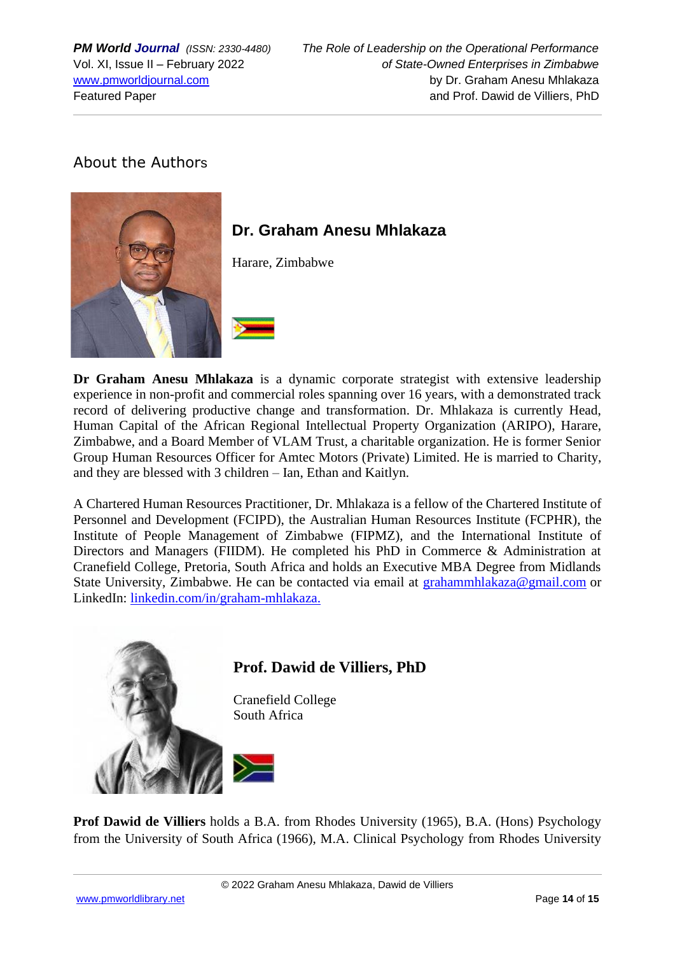# About the Authors



# **Dr. Graham Anesu Mhlakaza**

Harare, Zimbabwe

**Dr Graham Anesu Mhlakaza** is a dynamic corporate strategist with extensive leadership experience in non-profit and commercial roles spanning over 16 years, with a demonstrated track record of delivering productive change and transformation. Dr. Mhlakaza is currently Head, Human Capital of the African Regional Intellectual Property Organization (ARIPO), Harare, Zimbabwe, and a Board Member of VLAM Trust, a charitable organization. He is former Senior Group Human Resources Officer for Amtec Motors (Private) Limited. He is married to Charity, and they are blessed with 3 children – Ian, Ethan and Kaitlyn.

A Chartered Human Resources Practitioner, Dr. Mhlakaza is a fellow of the Chartered Institute of Personnel and Development (FCIPD), the Australian Human Resources Institute (FCPHR), the Institute of People Management of Zimbabwe (FIPMZ), and the International Institute of Directors and Managers (FIIDM). He completed his PhD in Commerce & Administration at Cranefield College, Pretoria, South Africa and holds an Executive MBA Degree from Midlands State University, Zimbabwe. He can be contacted via email at [grahammhlakaza@gmail.com](mailto:grahammhlakaza@gmail.com) or LinkedIn: [linkedin.com/in/graham-mhlakaza.](http://www.linkedin.com/in/graham-mhlakaza)



**Prof Dawid de Villiers** holds a B.A. from Rhodes University (1965), B.A. (Hons) Psychology from the University of South Africa (1966), M.A. Clinical Psychology from Rhodes University